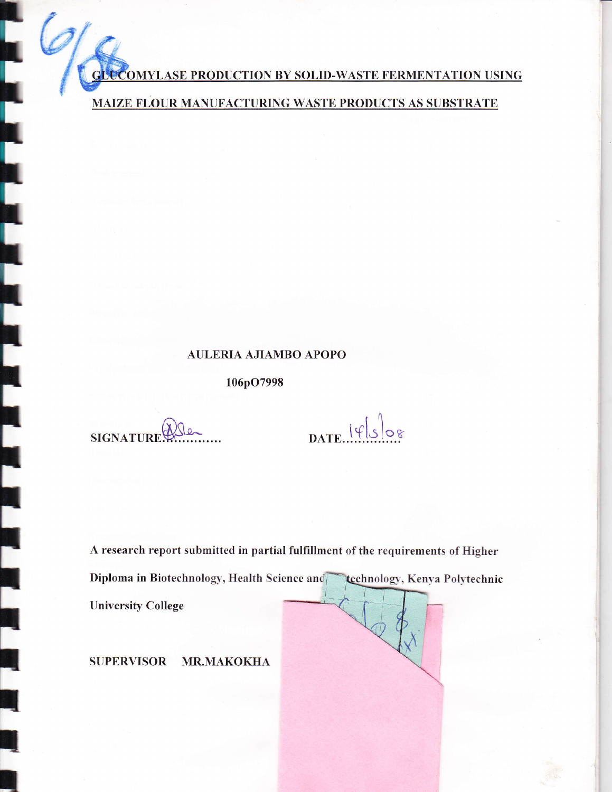**GLUCOMYLASE PRODUCTION BY SOLID-WASTE FERMENTATION USING** 

MAIZE FLOUR MANUFACTURING WASTE PRODUCTS AS SUBSTRATE

## **AULERIA AJIAMBO APOPO**

106pO7998

**SIGNATURE** 

 $\overline{\phantom{a}}$ 

 $\overline{\phantom{a}}$ 

I.

DATE  $| \psi |_{S} |_{S}$ 

A research report submitted in partial fulfillment of the requirements of Higher Diploma in Biotechnology, Health Science and technology, Kenya Polytechnic **University College** 

SUPERVISOR MR.MAKOKHA